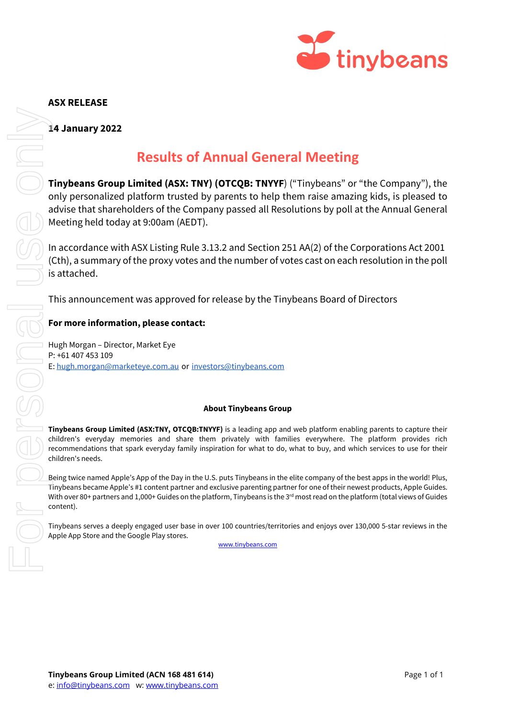

### **ASX RELEASE**

**14 January 2022**

## **Results of Annual General Meeting**

**Tinybeans Group Limited (ASX: TNY) (OTCOB: TNYYF)** ("Tinybeans" or "the Company"), the only personalized platform trusted by parents to help them raise amazing kids, is pleased to advise that shareholders of the Company passed all Resolutions by poll at the Annual General Meeting held today at 9:00am (AEDT).

In accordance with ASX Listing Rule 3.13.2 and Section 251 AA(2) of the Corporations Act 2001 (Cth), a summary of the proxy votes and the number of votes cast on each resolution in the poll is attached.

This announcement was approved for release by the Tinybeans Board of Directors

#### **For more information, please contact:**

Hugh Morgan – Director, Market Eye P: +61 407 453 109 E[: hugh.morgan@marketeye.com.au](mailto:hugh.morgan@marketeye.com.au) or [investors@tinybeans.com](mailto:investors@tinybeans.com)

#### **About Tinybeans Group**

**Tinybeans Group Limited (ASX:TNY, OTCQB:TNYYF)** is a leading app and web platform enabling parents to capture their children's everyday memories and share them privately with families everywhere. The platform provides rich recommendations that spark everyday family inspiration for what to do, what to buy, and which services to use for their children's needs.

Being twice named Apple's App of the Day in the U.S. puts Tinybeans in the elite company of the best apps in the world! Plus, Tinybeans became Apple's #1 content partner and exclusive parenting partner for one of their newest products, Apple Guides. With over 80+ partners and 1,000+ Guides on the platform, Tinybeans is the 3<sup>rd</sup> most read on the platform (total views of Guides content).

Tinybeans serves a deeply engaged user base in over 100 countries/territories and enjoys over 130,000 5-star reviews in the Apple App Store and the Google Play stores.

[www.tinybeans.com](http://www.tinybeans.com/)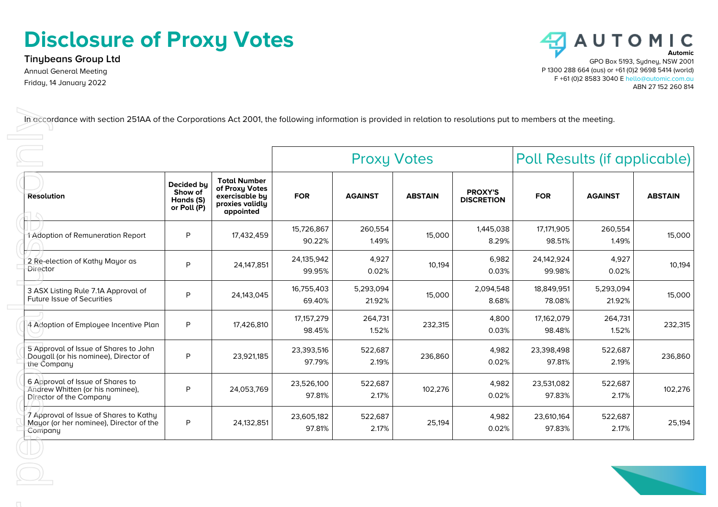# **Disclosure of Proxy Votes**

**Tinybeans Group Ltd** Annual General Meeting Friday, 14 January 2022



|                                                                                                 |                                                   |                                                                                         |                        | <b>Proxy Votes</b>  |                | Poll Results (if applicable)        |                      |                     |                |
|-------------------------------------------------------------------------------------------------|---------------------------------------------------|-----------------------------------------------------------------------------------------|------------------------|---------------------|----------------|-------------------------------------|----------------------|---------------------|----------------|
| <b>Resolution</b>                                                                               | Decided by<br>Show of<br>Hands (S)<br>or Poll (P) | <b>Total Number</b><br>of Proxy Votes<br>exercisable by<br>proxies validly<br>appointed | <b>FOR</b>             | <b>AGAINST</b>      | <b>ABSTAIN</b> | <b>PROXY'S</b><br><b>DISCRETION</b> | <b>FOR</b>           | <b>AGAINST</b>      | <b>ABSTAIN</b> |
| 1 Adoption of Remuneration Report                                                               | P                                                 | 17,432,459                                                                              | 15,726,867<br>90.22%   | 260,554<br>1.49%    | 15,000         | 1,445,038<br>8.29%                  | 17,171,905<br>98.51% | 260,554<br>1.49%    | 15,000         |
| 2 Re-election of Kathy Mayor as<br>Director                                                     | P                                                 | 24,147,851                                                                              | 24,135,942<br>99.95%   | 4,927<br>0.02%      | 10,194         | 6,982<br>0.03%                      | 24,142,924<br>99.98% | 4,927<br>0.02%      | 10,194         |
| 3 ASX Listing Rule 7.1A Approval of<br><b>Future Issue of Securities</b>                        | P                                                 | 24,143,045                                                                              | 16,755,403<br>69.40%   | 5,293,094<br>21.92% | 15,000         | 2,094,548<br>8.68%                  | 18,849,951<br>78.08% | 5,293,094<br>21.92% | 15,000         |
| 4 Adoption of Employee Incentive Plan                                                           | P                                                 | 17,426,810                                                                              | 17, 157, 279<br>98.45% | 264,731<br>1.52%    | 232,315        | 4,800<br>0.03%                      | 17,162,079<br>98.48% | 264,731<br>1.52%    | 232,315        |
| 5 Approval of Issue of Shares to John<br>Dougall (or his nominee), Director of<br>the Company   | P                                                 | 23,921,185                                                                              | 23,393,516<br>97.79%   | 522,687<br>2.19%    | 236,860        | 4,982<br>0.02%                      | 23,398,498<br>97.81% | 522,687<br>2.19%    | 236,860        |
| 6 Approval of Issue of Shares to<br>Andrew Whitten (or his nominee),<br>Director of the Company | P                                                 | 24,053,769                                                                              | 23,526,100<br>97.81%   | 522,687<br>2.17%    | 102,276        | 4,982<br>0.02%                      | 23,531,082<br>97.83% | 522,687<br>2.17%    | 102,276        |
| 7 Approval of Issue of Shares to Kathy<br>Mayor (or her nominee), Director of the<br>Company    | P                                                 | 24,132,851                                                                              | 23,605,182<br>97.81%   | 522,687<br>2.17%    | 25,194         | 4,982<br>0.02%                      | 23,610,164<br>97.83% | 522,687<br>2.17%    | 25,194         |